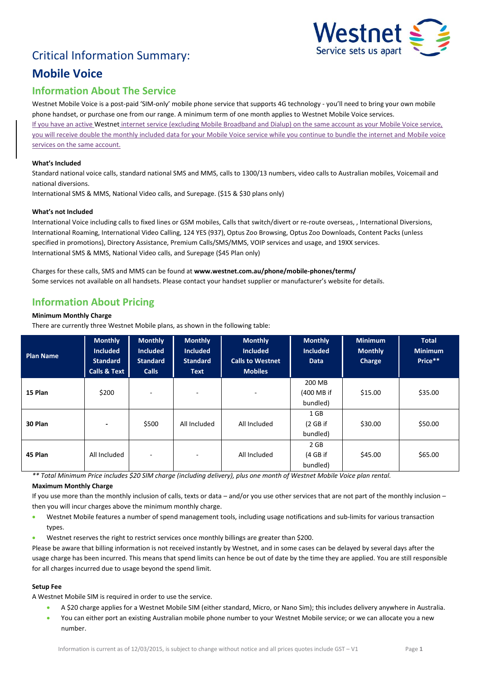# Critical Information Summary:



## **Mobile Voice**

## **Information About The Service**

Westnet Mobile Voice is a post-paid 'SIM-only' mobile phone service that supports 4G technology - you'll need to bring your own mobile phone handset, or purchase one from our range. A minimum term of one month applies to Westnet Mobile Voice services. If you have an active Westnet internet service (excluding Mobile Broadband and Dialup) on the same account as your Mobile Voice service, you will receive double the monthly included data for your Mobile Voice service while you continue to bundle the internet and Mobile voice services on the same account.

#### **What's Included**

Standard national voice calls, standard national SMS and MMS, calls to 1300/13 numbers, video calls to Australian mobiles, Voicemail and national diversions.

International SMS & MMS, National Video calls, and Surepage. (\$15 & \$30 plans only)

#### **What's not Included**

International Voice including calls to fixed lines or GSM mobiles, Calls that switch/divert or re-route overseas, , International Diversions, International Roaming, International Video Calling, 124 YES (937), Optus Zoo Browsing, Optus Zoo Downloads, Content Packs (unless specified in promotions), Directory Assistance, Premium Calls/SMS/MMS, VOIP services and usage, and 19XX services. International SMS & MMS, National Video calls, and Surepage (\$45 Plan only)

Charges for these calls, SMS and MMS can be found at **www.westnet.com.au/phone/mobile-phones/terms/** Some services not available on all handsets. Please contact your handset supplier or manufacturer's website for details.

### **Information About Pricing**

#### **Minimum Monthly Charge**

There are currently three Westnet Mobile plans, as shown in the following table:

| <b>Plan Name</b> | <b>Monthly</b><br><b>Included</b><br><b>Standard</b><br><b>Calls &amp; Text</b> | <b>Monthly</b><br><b>Included</b><br><b>Standard</b><br><b>Calls</b> | <b>Monthly</b><br><b>Included</b><br><b>Standard</b><br><b>Text</b> | <b>Monthly</b><br><b>Included</b><br><b>Calls to Westnet</b><br><b>Mobiles</b> | <b>Monthly</b><br><b>Included</b><br><b>Data</b> | <b>Minimum</b><br><b>Monthly</b><br>Charge | <b>Total</b><br><b>Minimum</b><br>Price** |
|------------------|---------------------------------------------------------------------------------|----------------------------------------------------------------------|---------------------------------------------------------------------|--------------------------------------------------------------------------------|--------------------------------------------------|--------------------------------------------|-------------------------------------------|
| 15 Plan          | \$200                                                                           | ٠                                                                    | ۰                                                                   | ٠                                                                              | 200 MB<br>(400 MB if<br>bundled)                 | \$15.00                                    | \$35.00                                   |
| 30 Plan          | $\overline{\phantom{a}}$                                                        | \$500                                                                | All Included                                                        | All Included                                                                   | 1 GB<br>(2 GB if<br>bundled)                     | \$30.00                                    | \$50.00                                   |
| 45 Plan          | All Included                                                                    | ٠                                                                    | ۰                                                                   | All Included                                                                   | 2 GB<br>(4 GB if<br>bundled)                     | \$45.00                                    | \$65.00                                   |

*\*\* Total Minimum Price includes \$20 SIM charge (including delivery), plus one month of Westnet Mobile Voice plan rental.* **Maximum Monthly Charge**

If you use more than the monthly inclusion of calls, texts or data – and/or you use other services that are not part of the monthly inclusion – then you will incur charges above the minimum monthly charge.

- Westnet Mobile features a number of spend management tools, including usage notifications and sub-limits for various transaction types.
- Westnet reserves the right to restrict services once monthly billings are greater than \$200.

Please be aware that billing information is not received instantly by Westnet, and in some cases can be delayed by several days after the usage charge has been incurred. This means that spend limits can hence be out of date by the time they are applied. You are still responsible for all charges incurred due to usage beyond the spend limit.

#### **Setup Fee**

A Westnet Mobile SIM is required in order to use the service.

- A \$20 charge applies for a Westnet Mobile SIM (either standard, Micro, or Nano Sim); this includes delivery anywhere in Australia.
- You can either port an existing Australian mobile phone number to your Westnet Mobile service; or we can allocate you a new number.